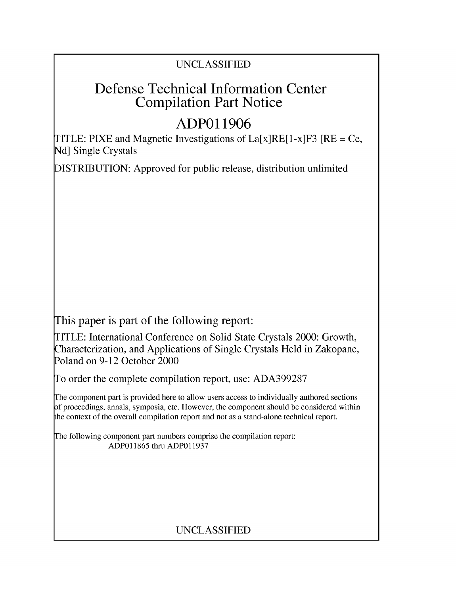## UNCLASSIFIED

# Defense Technical Information Center Compilation Part Notice

# **ADPO 11906**

TITLE: PIXE and Magnetic Investigations of  $La[x]RE[1-x]F3$  [RE = Ce, **Nd]** Single Crystals

DISTRIBUTION: Approved for public release, distribution unlimited

This paper is part of the following report:

TITLE: International Conference on Solid State Crystals 2000: Growth, Characterization, and Applications of Single Crystals Held in Zakopane, Poland on 9-12 October 2000

To order the complete compilation report, use: ADA399287

The component part is provided here to allow users access to individually authored sections f proceedings, annals, symposia, etc. However, the component should be considered within [he context of the overall compilation report and not as a stand-alone technical report.

The following component part numbers comprise the compilation report: ADP011865 thru ADP011937

## UNCLASSIFIED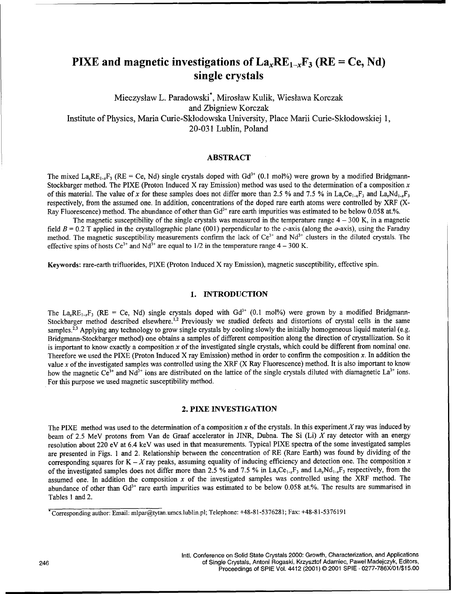## PIXE and magnetic investigations of  $La<sub>x</sub>RE<sub>1-x</sub>F<sub>3</sub>$  (RE = Ce, Nd) single crystals

Mieczyslaw L. Paradowski\*, Miroslaw Kulik, Wieslawa Korczak and Zbigniew Korczak Institute of Physics, Maria Curie-Sklodowska University, Place Marii Curie-Sklodowskiej 1, 20-031 Lublin, Poland

### ABSTRACT

The mixed La, RE<sub>1</sub>, F<sub>3</sub> (RE = Ce, Nd) single crystals doped with Gd<sup>3+</sup> (0.1 mol%) were grown by a modified Bridgmann-Stockbarger method. The PIXE (Proton Induced X ray Emission) method was used to the determination of a composition  $x$ of this material. The value of x for these samples does not differ more than 2.5 % and 7.5 % in La<sub>t</sub>Ce<sub>1</sub>-F<sub>3</sub> and La<sub>t</sub>Nd<sub>1</sub>-F<sub>3</sub> respectively, from the assumed one. In addition, concentrations of the doped rare earth atoms were controlled by XRF (X-Ray Fluorescence) method. The abundance of other than Gd<sup>3+</sup> rare earth impurities was estimated to be below 0.058 at.%

The magnetic susceptibility of the single crystals was measured in the temperature range  $4 - 300$  K, in a magnetic field  $B = 0.2$  T applied in the crystallographic plane (001) perpendicular to the c-axis (along the a-axis), using the Faraday method. The magnetic susceptibility measurements confirm the lack of  $Ce^{3+}$  and  $Nd^{3+}$  clusters in the diluted crystals. The effective spins of hosts Ce<sup>3+</sup> and Nd<sup>3+</sup> are equal to 1/2 in the temperature range  $4 - 300$  K.

Keywords: rare-earth trifluorides, PIXE (Proton Induced X ray Emission), magnetic susceptibility, effective spin.

#### 1. **INTRODUCTION**

The La<sub>xREI-xF<sub>3</sub> (RE = Ce, Nd) single crystals doped with  $Gd^{3+}$  (0.1 mol%) were grown by a modified Bridgmann-</sub> Stockbarger method described elsewhere.<sup>1,2</sup> Previously we studied defects and distortions of crystal cells in the same samples.<sup>2,3</sup> Applying any technology to grow single crystals by cooling slowly the initially homogeneous liquid material (e.g. Bridgmann-Stockbarger method) one obtains a samples of different composition along the direction of crystallization. So it is important to know exactly a composition x of the investigated single crystals, which could be different from nominal one. Therefore we used the PIXE (Proton Induced X ray Emission) method in order to confirm the composition  $x$ . In addition the value x of the investigated samples was controlled using the XRF (X Ray Fluorescence) method. It is also important to know how the magnetic Ce<sup>3+</sup> and Nd<sup>3+</sup> ions are distributed on the lattice of the single crystals diluted with diamagnetic La<sup>3+</sup> ions. For this purpose we used magnetic susceptibility method.

#### 2. PIXE **INVESTIGATION**

The PIXE method was used to the determination of a composition x of the crystals. In this experiment X ray was induced by beam of 2.5 MeV protons from Van de Graaf accelerator in JINR, Dubna. The Si (Li) X ray detector with an energy resolution about 220 eV at 6.4 keV was used in that measurements. Typical PIXE spectra of the some investigated samples are presented in Figs. **I** and 2. Relationship between the concentration of RE (Rare Earth) was found by dividing of the corresponding squares for  $K - X$  ray peaks, assuming equality of inducing efficiency and detection one. The composition x of the investigated samples does not differ more than 2.5 % and 7.5 % in La<sub>x</sub>Ce<sub>1-x</sub>F<sub>3</sub> and La<sub>x</sub>Nd<sub>1-x</sub>F<sub>3</sub> respectively, from the assumed one. In addition the composition  $x$  of the investigated samples was controlled using the XRF method. The abundance of other than Gd<sup>3+</sup> rare earth impurities was estimated to be below 0.058 at.%. The results are summarised in Tables 1 and 2.

Corresponding author: Email: mlpar@tytan.umcs.lublin.pl; Telephone: +48-81-5376281; Fax: +48-81-5376191

Intl. Conference on Solid State Crystals 2000: Growth, Characterization, and Applications 246 of Single Crystals, Antoni Rogaski, Krzysztof Adamiec, Pawel Madejczyk, Editors, Proceedings of SPIE Vol. 4412 (2001) © 2001 SPIE • 0277-786X/01/\$15.00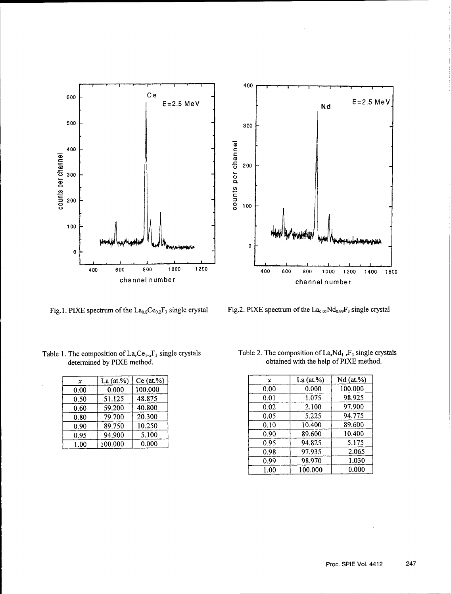

Fig. 1. PIXE spectrum of the  $La_{0.8}Ce_{0.2}F_3$  single crystal Fig. 2. PIXE spectrum of the  $La_{0.01}Nd_{0.99}F_3$  single crystal

| $\boldsymbol{x}$ | La $(at.^{\%})$ | $Ce$ (at.%) |
|------------------|-----------------|-------------|
| 0.00             | 0.000           | 100.000     |
| 0.50             | 51.125          | 48.875      |
| 0.60             | 59.200          | 40.800      |
| 0.80             | 79.700          | 20.300      |
| 0.90             | 89.750          | 10.250      |
| 0.95             | 94.900          | 5.100       |
| $1.00\,$         | 100.000         | 0.000       |

Table 1. The composition of  $La_xCe_{1-x}F_3$  single crystals determined by PIXE method.

| Table 2. The composition of $La_xNd_{1-x}F_3$ single crystals |
|---------------------------------------------------------------|
| obtained with the help of PIXE method.                        |

| La $(at.\%)$<br>$\mathbf x$<br>100.000<br>0.000<br>0.00 | $Ce$ (at.%) |
|---------------------------------------------------------|-------------|
|                                                         |             |
|                                                         |             |
| 48.875<br>51.125<br>0.50                                |             |
| 40.800<br>59.200<br>0.60                                |             |
| 20.300<br>79.700<br>0.80                                |             |
| 10.250<br>89.750<br>0.90                                |             |
| 94.900<br>0.95                                          | 5.100       |
| 0.000<br>100.000<br>1.00                                |             |
|                                                         |             |
|                                                         |             |
|                                                         |             |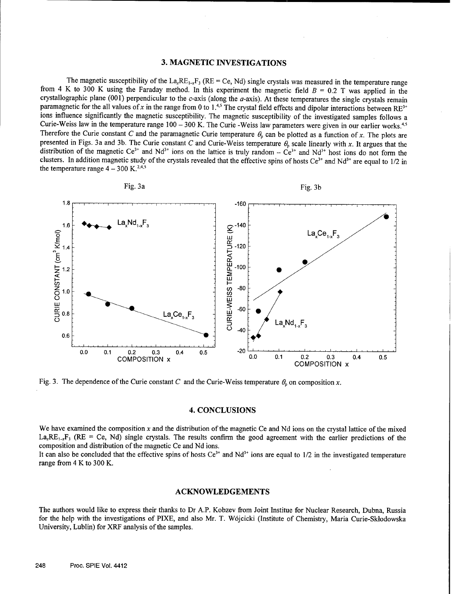#### **3. MAGNETIC INVESTIGATIONS**

The magnetic susceptibility of the  $La_xRE_{1-x}F_3$  (RE = Ce, Nd) single crystals was measured in the temperature range from 4 K to 300 K using the Faraday method. In this experiment the magnetic field B **=** 0.2 T was applied in the crystallographic plane (001) perpendicular to the c-axis (along the  $a$ -axis). At these temperatures the single crystals remain paramagnetic for the all values of x in the range from 0 to 1.<sup>4,5</sup> The crystal field effects and dipolar interactions between RE<sup>3+</sup> ions influence significantly the magnetic susceptibility. The magnetic susceptibility of the investigated samples follows a Curie-Weiss law in the temperature range  $100 - 300$  K. The Curie -Weiss law parameters were given in our earlier works.  $4.5$ Therefore the Curie constant C and the paramagnetic Curie temperature  $\theta_p$  can be plotted as a function of x. The plots are presented in Figs. 3a and 3b. The Curie constant C and Curie-Weiss temperature  $\theta_p$  scale linearly with x. It argues that the distribution of the magnetic  $Ce^{3+}$  and  $Nd^{3+}$  ions on the lattice is truly random  $-Ce^{3+}$  and  $Nd^{3+}$  host ions do not form the clusters. In addition magnetic study of the crystals revealed that the effective spins of hosts  $Ce^{3+}$  and  $Nd^{3+}$  are equal to 1/2 in the temperature range  $4 - 300$  K.<sup>2,4,5</sup>



Fig. 3. The dependence of the Curie constant C and the Curie-Weiss temperature  $\theta_p$  on composition x.

#### 4. **CONCLUSIONS**

We have examined the composition  $x$  and the distribution of the magnetic Ce and Nd ions on the crystal lattice of the mixed  $La_{x}RE_{1-x}F_{3}$  (RE = Ce, Nd) single crystals. The results confirm the good agreement with the earlier predictions of the composition and distribution of the magnetic Ce and Nd ions.

It can also be concluded that the effective spins of hosts  $Ce^{3+}$  and  $Nd^{3+}$  ions are equal to  $1/2$  in the investigated temperature range from 4 K to 300 K.

#### **ACKNOWLEDGEMENTS**

The authors would like to express their thanks to Dr A.P. Kobzev from Joint Institue for Nuclear Research, Dubna, Russia for the help with the investigations of PIXE, and also Mr. T. W6jcicki (Institute of Chemistry, Maria Curie-Sklodowska University, Lublin) for XRF analysis of the samples.